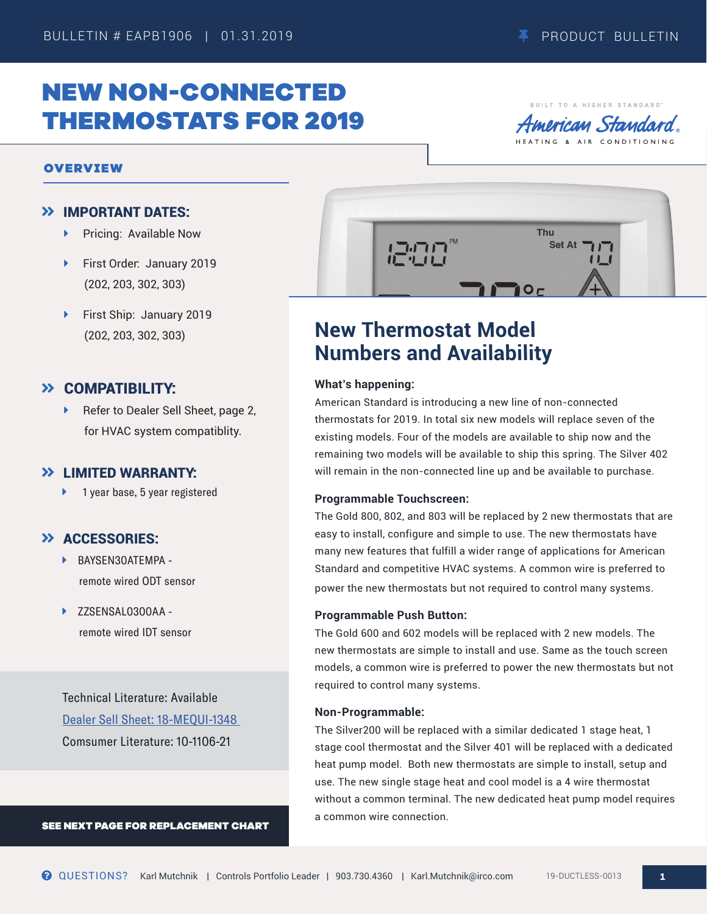BUILT TO A HIGHER STANDARD merican Standard

# NEW NON-CONNECTED THERMOSTATS FOR 2019

### OVERVIEW

### IMPORTANT DATES:

- ▶ Pricing: Available Now
- ▶ First Order: January 2019 (202, 203, 302, 303)
- First Ship: January 2019 (202, 203, 302, 303)

## COMPATIBILITY:

Refer to Dealer Sell Sheet, page 2, for HVAC system compatiblity.

### **>> I IMITED WARRANTY:**

▶ 1 year base, 5 year registered

### **>> ACCESSORIES:**

- **BAYSEN30ATEMPA** remote wired ODT sensor
- ▶ ZZSENSAL0300AA remote wired IDT sensor

Technical Literature: Available [Dealer Sell Sheet: 18-MEQUI-1348](https://www.asdealernet.com/Resources/Partners/55684614-0c83-481a-baed-695d53fc0b63/documents/AmericanStandard_Non-Connected_Sell_Sheet.pdf)  Comsumer Literature: 10-1106-21

SEE NEXT PAGE FOR REPLACEMENT CHART



# **New Thermostat Model Numbers and Availability**

### **What's happening:**

American Standard is introducing a new line of non-connected thermostats for 2019. In total six new models will replace seven of the existing models. Four of the models are available to ship now and the remaining two models will be available to ship this spring. The Silver 402 will remain in the non-connected line up and be available to purchase.

#### **Programmable Touchscreen:**

The Gold 800, 802, and 803 will be replaced by 2 new thermostats that are easy to install, configure and simple to use. The new thermostats have many new features that fulfill a wider range of applications for American Standard and competitive HVAC systems. A common wire is preferred to power the new thermostats but not required to control many systems.

#### **Programmable Push Button:**

The Gold 600 and 602 models will be replaced with 2 new models. The new thermostats are simple to install and use. Same as the touch screen models, a common wire is preferred to power the new thermostats but not required to control many systems.

#### **Non-Programmable:**

The Silver200 will be replaced with a similar dedicated 1 stage heat, 1 stage cool thermostat and the Silver 401 will be replaced with a dedicated heat pump model. Both new thermostats are simple to install, setup and use. The new single stage heat and cool model is a 4 wire thermostat without a common terminal. The new dedicated heat pump model requires a common wire connection.